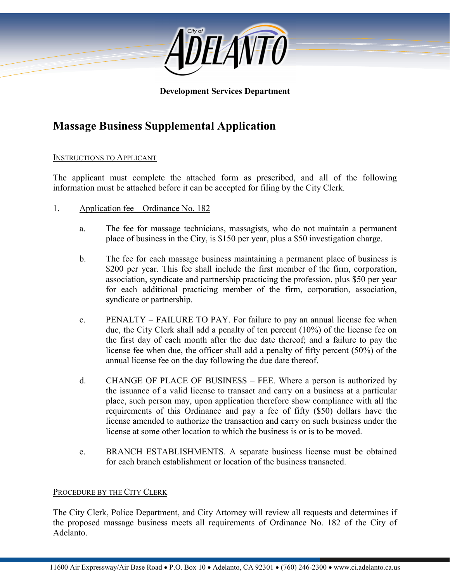

#### **Development Services Department**

# **Massage Business Supplemental Application**

#### INSTRUCTIONS TO APPLICANT

The applicant must complete the attached form as prescribed, and all of the following information must be attached before it can be accepted for filing by the City Clerk.

- 1. Application fee Ordinance No. 182
	- a. The fee for massage technicians, massagists, who do not maintain a permanent place of business in the City, is \$150 per year, plus a \$50 investigation charge.
	- b. The fee for each massage business maintaining a permanent place of business is \$200 per year. This fee shall include the first member of the firm, corporation, association, syndicate and partnership practicing the profession, plus \$50 per year for each additional practicing member of the firm, corporation, association, syndicate or partnership.
	- c. PENALTY FAILURE TO PAY. For failure to pay an annual license fee when due, the City Clerk shall add a penalty of ten percent (10%) of the license fee on the first day of each month after the due date thereof; and a failure to pay the license fee when due, the officer shall add a penalty of fifty percent (50%) of the annual license fee on the day following the due date thereof.
	- d. CHANGE OF PLACE OF BUSINESS FEE. Where a person is authorized by the issuance of a valid license to transact and carry on a business at a particular place, such person may, upon application therefore show compliance with all the requirements of this Ordinance and pay a fee of fifty (\$50) dollars have the license amended to authorize the transaction and carry on such business under the license at some other location to which the business is or is to be moved.
	- e. BRANCH ESTABLISHMENTS. A separate business license must be obtained for each branch establishment or location of the business transacted.

#### PROCEDURE BY THE CITY CLERK

The City Clerk, Police Department, and City Attorney will review all requests and determines if the proposed massage business meets all requirements of Ordinance No. 182 of the City of Adelanto.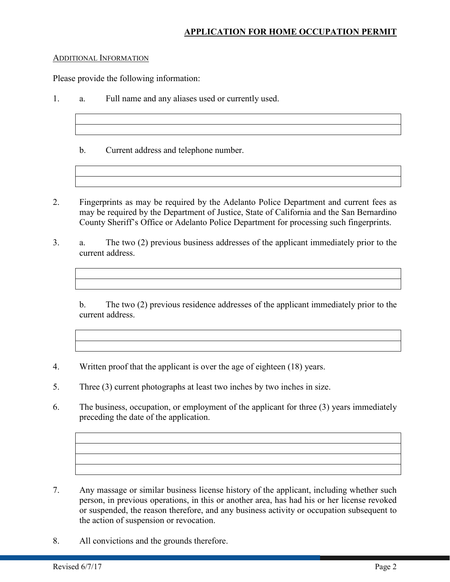#### ADDITIONAL INFORMATION

Please provide the following information:

- 1. a. Full name and any aliases used or currently used.
	- b. Current address and telephone number.
- 2. Fingerprints as may be required by the Adelanto Police Department and current fees as may be required by the Department of Justice, State of California and the San Bernardino County Sheriff's Office or Adelanto Police Department for processing such fingerprints.
- 3. a. The two (2) previous business addresses of the applicant immediately prior to the current address.

b. The two (2) previous residence addresses of the applicant immediately prior to the current address.

- 4. Written proof that the applicant is over the age of eighteen (18) years.
- 5. Three (3) current photographs at least two inches by two inches in size.
- 6. The business, occupation, or employment of the applicant for three (3) years immediately preceding the date of the application.

- 7. Any massage or similar business license history of the applicant, including whether such person, in previous operations, in this or another area, has had his or her license revoked or suspended, the reason therefore, and any business activity or occupation subsequent to the action of suspension or revocation.
- 8. All convictions and the grounds therefore.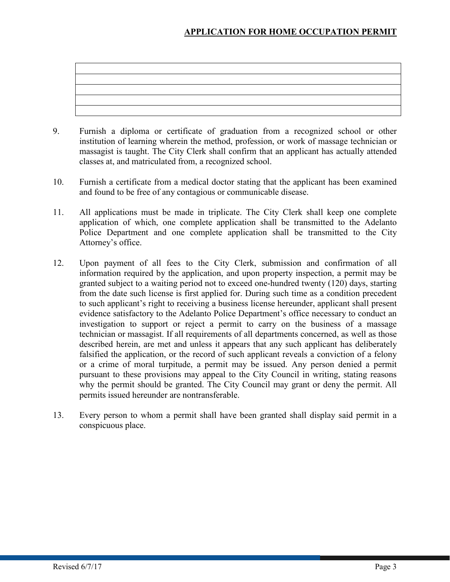- 9. Furnish a diploma or certificate of graduation from a recognized school or other institution of learning wherein the method, profession, or work of massage technician or massagist is taught. The City Clerk shall confirm that an applicant has actually attended classes at, and matriculated from, a recognized school.
- 10. Furnish a certificate from a medical doctor stating that the applicant has been examined and found to be free of any contagious or communicable disease.
- 11. All applications must be made in triplicate. The City Clerk shall keep one complete application of which, one complete application shall be transmitted to the Adelanto Police Department and one complete application shall be transmitted to the City Attorney's office.
- 12. Upon payment of all fees to the City Clerk, submission and confirmation of all information required by the application, and upon property inspection, a permit may be granted subject to a waiting period not to exceed one-hundred twenty (120) days, starting from the date such license is first applied for. During such time as a condition precedent to such applicant's right to receiving a business license hereunder, applicant shall present evidence satisfactory to the Adelanto Police Department's office necessary to conduct an investigation to support or reject a permit to carry on the business of a massage technician or massagist. If all requirements of all departments concerned, as well as those described herein, are met and unless it appears that any such applicant has deliberately falsified the application, or the record of such applicant reveals a conviction of a felony or a crime of moral turpitude, a permit may be issued. Any person denied a permit pursuant to these provisions may appeal to the City Council in writing, stating reasons why the permit should be granted. The City Council may grant or deny the permit. All permits issued hereunder are nontransferable.
- 13. Every person to whom a permit shall have been granted shall display said permit in a conspicuous place.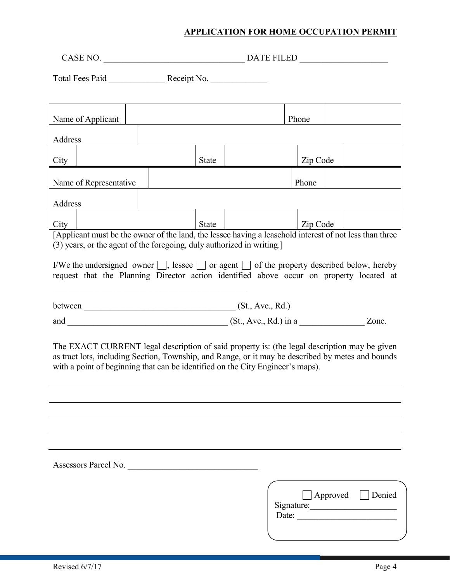CASE NO. \_\_\_\_\_\_\_\_\_\_\_\_\_\_\_\_\_\_\_\_\_\_\_\_\_\_\_\_\_\_\_\_ DATE FILED \_\_\_\_\_\_\_\_\_\_\_\_\_\_\_\_\_\_\_\_

Total Fees Paid \_\_\_\_\_\_\_\_\_\_\_\_\_ Receipt No. \_\_\_\_\_\_\_\_\_\_\_\_\_

| Name of Applicant                                                                                                                                                                                                                                                                   |  |  |  |              |  | Phone |          |                 |                               |
|-------------------------------------------------------------------------------------------------------------------------------------------------------------------------------------------------------------------------------------------------------------------------------------|--|--|--|--------------|--|-------|----------|-----------------|-------------------------------|
| Address                                                                                                                                                                                                                                                                             |  |  |  |              |  |       |          |                 |                               |
| City                                                                                                                                                                                                                                                                                |  |  |  | <b>State</b> |  |       | Zip Code |                 |                               |
| Name of Representative                                                                                                                                                                                                                                                              |  |  |  |              |  |       | Phone    |                 |                               |
| Address                                                                                                                                                                                                                                                                             |  |  |  |              |  |       |          |                 |                               |
| City                                                                                                                                                                                                                                                                                |  |  |  | <b>State</b> |  |       | Zip Code |                 |                               |
| [Applicant must be the owner of the land, the lessee having a leasehold interest of not less than three<br>(3) years, or the agent of the foregoing, duly authorized in writing.]                                                                                                   |  |  |  |              |  |       |          |                 |                               |
| I/We the undersigned owner $\Box$ , lessee $\Box$ or agent $\Box$ of the property described below, hereby<br>request that the Planning Director action identified above occur on property located at                                                                                |  |  |  |              |  |       |          |                 |                               |
|                                                                                                                                                                                                                                                                                     |  |  |  |              |  |       |          |                 |                               |
|                                                                                                                                                                                                                                                                                     |  |  |  |              |  |       |          |                 |                               |
| The EXACT CURRENT legal description of said property is: (the legal description may be given<br>as tract lots, including Section, Township, and Range, or it may be described by metes and bounds<br>with a point of beginning that can be identified on the City Engineer's maps). |  |  |  |              |  |       |          |                 |                               |
|                                                                                                                                                                                                                                                                                     |  |  |  |              |  |       |          |                 |                               |
|                                                                                                                                                                                                                                                                                     |  |  |  |              |  |       |          |                 |                               |
|                                                                                                                                                                                                                                                                                     |  |  |  |              |  |       |          |                 |                               |
| Assessors Parcel No.                                                                                                                                                                                                                                                                |  |  |  |              |  |       |          |                 |                               |
|                                                                                                                                                                                                                                                                                     |  |  |  |              |  |       |          | $\Box$ Approved | Denied<br>Signature:<br>Date: |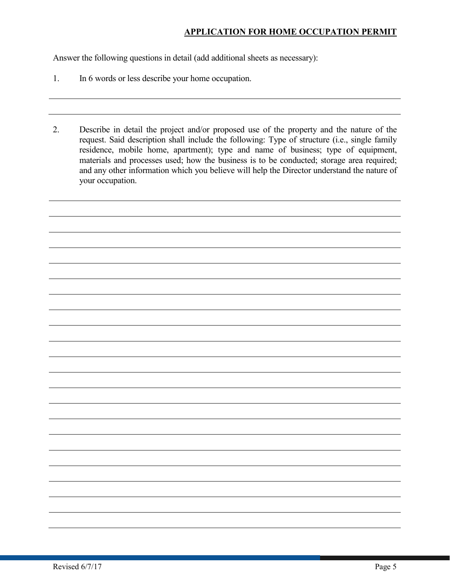Answer the following questions in detail (add additional sheets as necessary):

- 1. In 6 words or less describe your home occupation.
- 2. Describe in detail the project and/or proposed use of the property and the nature of the request. Said description shall include the following: Type of structure (i.e., single family residence, mobile home, apartment); type and name of business; type of equipment, materials and processes used; how the business is to be conducted; storage area required; and any other information which you believe will help the Director understand the nature of your occupation.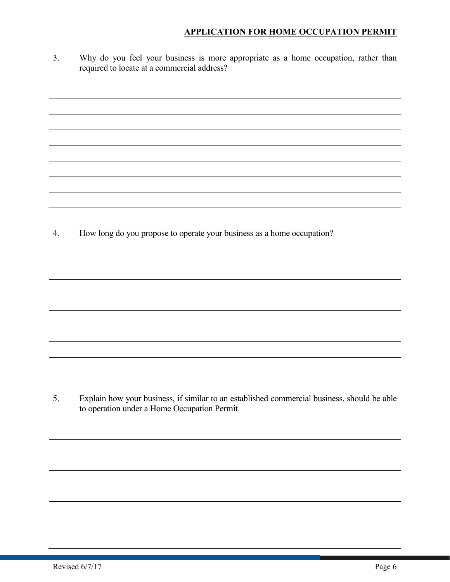3. Why do you feel your business is more appropriate as a home occupation, rather than required to locate at a commercial address?

4. How long do you propose to operate your business as a home occupation?

5. Explain how your business, if similar to an established commercial business, should be able to operation under a Home Occupation Permit.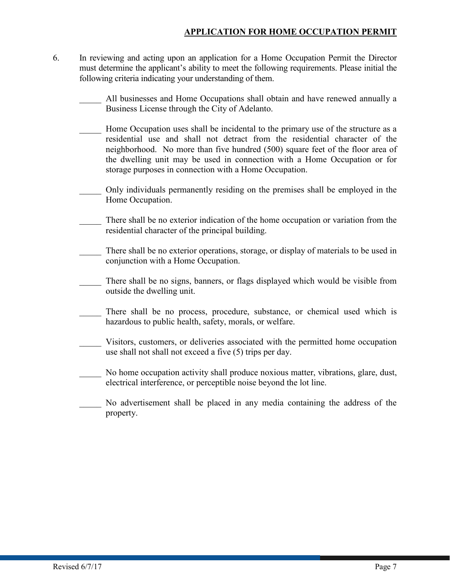- 6. In reviewing and acting upon an application for a Home Occupation Permit the Director must determine the applicant's ability to meet the following requirements. Please initial the following criteria indicating your understanding of them.
	- All businesses and Home Occupations shall obtain and have renewed annually a Business License through the City of Adelanto.
	- \_\_\_\_\_ Home Occupation uses shall be incidental to the primary use of the structure as a residential use and shall not detract from the residential character of the neighborhood. No more than five hundred (500) square feet of the floor area of the dwelling unit may be used in connection with a Home Occupation or for storage purposes in connection with a Home Occupation.
	- Only individuals permanently residing on the premises shall be employed in the Home Occupation.
	- There shall be no exterior indication of the home occupation or variation from the residential character of the principal building.
	- There shall be no exterior operations, storage, or display of materials to be used in conjunction with a Home Occupation.
	- \_\_\_\_\_ There shall be no signs, banners, or flags displayed which would be visible from outside the dwelling unit.
	- There shall be no process, procedure, substance, or chemical used which is hazardous to public health, safety, morals, or welfare.
	- Visitors, customers, or deliveries associated with the permitted home occupation use shall not shall not exceed a five (5) trips per day.
	- No home occupation activity shall produce noxious matter, vibrations, glare, dust, electrical interference, or perceptible noise beyond the lot line.
	- \_\_\_\_\_ No advertisement shall be placed in any media containing the address of the property.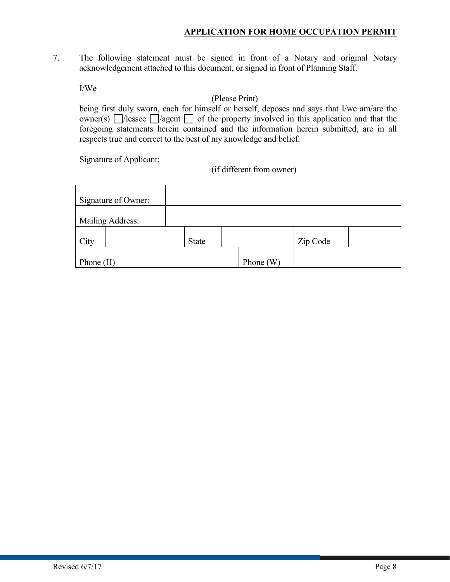7. The following statement must be signed in front of a Notary and original Notary acknowledgement attached to this document, or signed in front of Planning Staff.

 $I/We$ 

(Please Print) being first duly sworn, each for himself or herself, deposes and says that I/we am/are the owner(s)  $\Box$ /lessee  $\Box$ /agent  $\Box$  of the property involved in this application and that the foregoing statements herein contained and the information herein submitted, are in all respects true and correct to the best of my knowledge and belief.

Signature of Applicant:

(if different from owner)

| Signature of Owner: |              |             |          |  |
|---------------------|--------------|-------------|----------|--|
| Mailing Address:    |              |             |          |  |
| City                | <b>State</b> |             | Zip Code |  |
| Phone $(H)$         |              | Phone $(W)$ |          |  |